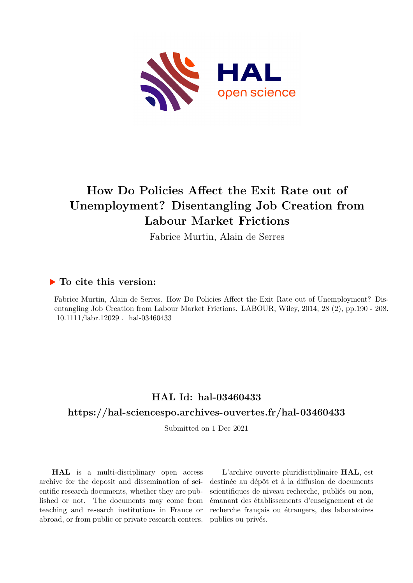

# **How Do Policies Affect the Exit Rate out of Unemployment? Disentangling Job Creation from Labour Market Frictions**

Fabrice Murtin, Alain de Serres

## **To cite this version:**

Fabrice Murtin, Alain de Serres. How Do Policies Affect the Exit Rate out of Unemployment? Disentangling Job Creation from Labour Market Frictions. LABOUR, Wiley, 2014, 28 (2), pp.190 - 208. 10.1111/labr.12029. hal-03460433

# **HAL Id: hal-03460433 <https://hal-sciencespo.archives-ouvertes.fr/hal-03460433>**

Submitted on 1 Dec 2021

**HAL** is a multi-disciplinary open access archive for the deposit and dissemination of scientific research documents, whether they are published or not. The documents may come from teaching and research institutions in France or abroad, or from public or private research centers.

L'archive ouverte pluridisciplinaire **HAL**, est destinée au dépôt et à la diffusion de documents scientifiques de niveau recherche, publiés ou non, émanant des établissements d'enseignement et de recherche français ou étrangers, des laboratoires publics ou privés.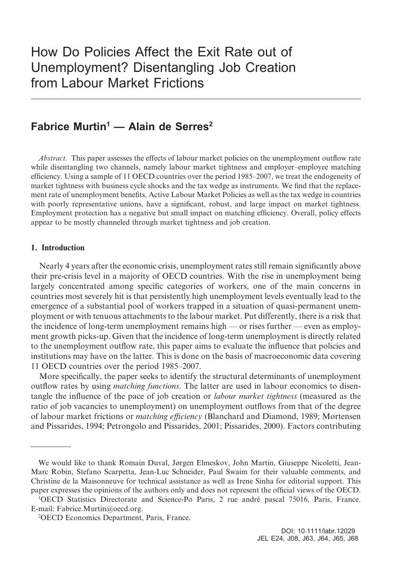## **Fabrice Murtin<sup>1</sup> — Alain de Serres<sup>2</sup>**

*Abstract.* This paper assesses the effects of labour market policies on the unemployment outflow rate while disentangling two channels, namely labour market tightness and employer–employee matching efficiency. Using a sample of 11 OECD countries over the period 1985–2007, we treat the endogeneity of market tightness with business cycle shocks and the tax wedge as instruments. We find that the replacement rate of unemployment benefits, Active Labour Market Policies as well as the tax wedge in countries with poorly representative unions, have a significant, robust, and large impact on market tightness. Employment protection has a negative but small impact on matching efficiency. Overall, policy effects appear to be mostly channeled through market tightness and job creation.

#### **1. Introduction**

Nearly 4 years after the economic crisis, unemployment rates still remain significantly above their pre-crisis level in a majority of OECD countries. With the rise in unemployment being largely concentrated among specific categories of workers, one of the main concerns in countries most severely hit is that persistently high unemployment levels eventually lead to the emergence of a substantial pool of workers trapped in a situation of quasi-permanent unemployment or with tenuous attachments to the labour market. Put differently, there is a risk that the incidence of long-term unemployment remains high — or rises further — even as employment growth picks-up. Given that the incidence of long-term unemployment is directly related to the unemployment outflow rate, this paper aims to evaluate the influence that policies and institutions may have on the latter. This is done on the basis of macroeconomic data covering 11 OECD countries over the period 1985–2007.

More specifically, the paper seeks to identify the structural determinants of unemployment outflow rates by using *matching functions*. The latter are used in labour economics to disentangle the influence of the pace of job creation or *labour market tightness* (measured as the ratio of job vacancies to unemployment) on unemployment outflows from that of the degree of labour market frictions or *matching efficiency* (Blanchard and Diamond, 1989; Mortensen and Pissarides, 1994; Petrongolo and Pissarides, 2001; Pissarides, 2000). Factors contributing

We would like to thank Romain Duval, Jørgen Elmeskov, John Martin, Giuseppe Nicoletti, Jean-Marc Robin, Stefano Scarpetta, Jean-Luc Schneider, Paul Swaim for their valuable comments, and Christine de la Maisonneuve for technical assistance as well as Irene Sinha for editorial support. This paper expresses the opinions of the authors only and does not represent the official views of the OECD.

<sup>1</sup> OECD Statistics Directorate and Science-Po Paris, 2 rue andré pascal 75016, Paris, France. E-mail: [Fabrice.Murtin@oecd.org.](mailto:Fabrice.Murtin@oecd.org)

<sup>2</sup> OECD Economics Department, Paris, France.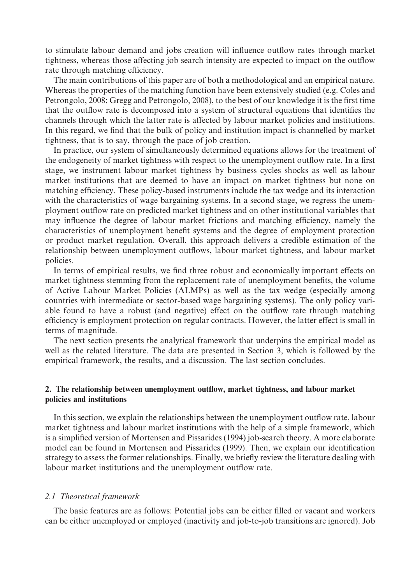to stimulate labour demand and jobs creation will influence outflow rates through market tightness, whereas those affecting job search intensity are expected to impact on the outflow rate through matching efficiency.

The main contributions of this paper are of both a methodological and an empirical nature. Whereas the properties of the matching function have been extensively studied (e.g. Coles and Petrongolo, 2008; Gregg and Petrongolo, 2008), to the best of our knowledge it is the first time that the outflow rate is decomposed into a system of structural equations that identifies the channels through which the latter rate is affected by labour market policies and institutions. In this regard, we find that the bulk of policy and institution impact is channelled by market tightness, that is to say, through the pace of job creation.

In practice, our system of simultaneously determined equations allows for the treatment of the endogeneity of market tightness with respect to the unemployment outflow rate. In a first stage, we instrument labour market tightness by business cycles shocks as well as labour market institutions that are deemed to have an impact on market tightness but none on matching efficiency. These policy-based instruments include the tax wedge and its interaction with the characteristics of wage bargaining systems. In a second stage, we regress the unemployment outflow rate on predicted market tightness and on other institutional variables that may influence the degree of labour market frictions and matching efficiency, namely the characteristics of unemployment benefit systems and the degree of employment protection or product market regulation. Overall, this approach delivers a credible estimation of the relationship between unemployment outflows, labour market tightness, and labour market policies.

In terms of empirical results, we find three robust and economically important effects on market tightness stemming from the replacement rate of unemployment benefits, the volume of Active Labour Market Policies (ALMPs) as well as the tax wedge (especially among countries with intermediate or sector-based wage bargaining systems). The only policy variable found to have a robust (and negative) effect on the outflow rate through matching efficiency is employment protection on regular contracts. However, the latter effect is small in terms of magnitude.

The next section presents the analytical framework that underpins the empirical model as well as the related literature. The data are presented in Section 3, which is followed by the empirical framework, the results, and a discussion. The last section concludes.

#### **2. The relationship between unemployment outflow, market tightness, and labour market policies and institutions**

In this section, we explain the relationships between the unemployment outflow rate, labour market tightness and labour market institutions with the help of a simple framework, which is a simplified version of Mortensen and Pissarides (1994) job-search theory. A more elaborate model can be found in Mortensen and Pissarides (1999). Then, we explain our identification strategy to assess the former relationships. Finally, we briefly review the literature dealing with labour market institutions and the unemployment outflow rate.

#### *2.1 Theoretical framework*

The basic features are as follows: Potential jobs can be either filled or vacant and workers can be either unemployed or employed (inactivity and job-to-job transitions are ignored). Job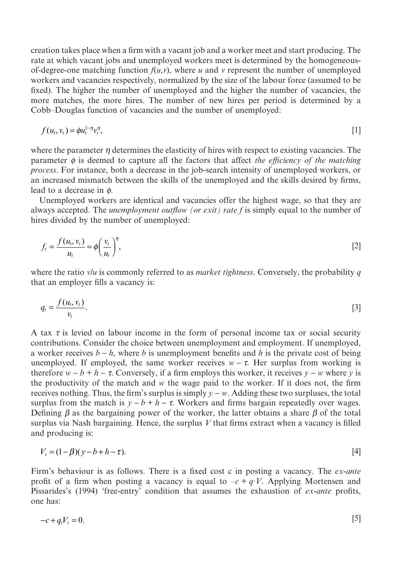creation takes place when a firm with a vacant job and a worker meet and start producing. The rate at which vacant jobs and unemployed workers meet is determined by the homogeneousof-degree-one matching function  $f(u, v)$ , where *u* and *v* represent the number of unemployed workers and vacancies respectively, normalized by the size of the labour force (assumed to be fixed). The higher the number of unemployed and the higher the number of vacancies, the more matches, the more hires. The number of new hires per period is determined by a Cobb–Douglas function of vacancies and the number of unemployed:

$$
f(u_t, v_t) = \phi u_t^{1-\eta} v_t^{\eta}, \tag{1}
$$

where the parameter  $\eta$  determines the elasticity of hires with respect to existing vacancies. The parameter  $\phi$  is deemed to capture all the factors that affect *the efficiency of the matching process*. For instance, both a decrease in the job-search intensity of unemployed workers, or an increased mismatch between the skills of the unemployed and the skills desired by firms, lead to a decrease in *ϕ*.

Unemployed workers are identical and vacancies offer the highest wage, so that they are always accepted. The *unemployment outflow (or exit) rate f* is simply equal to the number of hires divided by the number of unemployed:

$$
f_t = \frac{f(u_t, v_t)}{u_t} = \phi\left(\frac{v_t}{u_t}\right)^{\eta},\tag{2}
$$

where the ratio *v/u* is commonly referred to as *market tightness*. Conversely, the probability *q* that an employer fills a vacancy is:

$$
q_t = \frac{f(u_t, v_t)}{v_t}.
$$

A tax  $\tau$  is levied on labour income in the form of personal income tax or social security contributions. Consider the choice between unemployment and employment. If unemployed, a worker receives  $b - h$ , where *b* is unemployment benefits and *h* is the private cost of being unemployed. If employed, the same worker receives  $w - \tau$ . Her surplus from working is therefore  $w - b + h - \tau$ . Conversely, if a firm employs this worker, it receives  $y - w$  where *y* is the productivity of the match and *w* the wage paid to the worker. If it does not, the firm receives nothing. Thus, the firm's surplus is simply *y* − *w*. Adding these two surpluses, the total surplus from the match is  $y - b + h - \tau$ . Workers and firms bargain repeatedly over wages. Defining  $\beta$  as the bargaining power of the worker, the latter obtains a share  $\beta$  of the total surplus via Nash bargaining. Hence, the surplus *V* that firms extract when a vacancy is filled and producing is:

$$
V_t = (1 - \beta)(y - b + h - \tau). \tag{4}
$$

Firm's behaviour is as follows. There is a fixed cost c in posting a vacancy. The *ex-ante* profit of a firm when posting a vacancy is equal to  $-c + q \cdot V$ . Applying Mortensen and Pissarides's (1994) 'free-entry' condition that assumes the exhaustion of *ex-ante* profits, one has:

$$
-c + q_i V_t = 0. \tag{5}
$$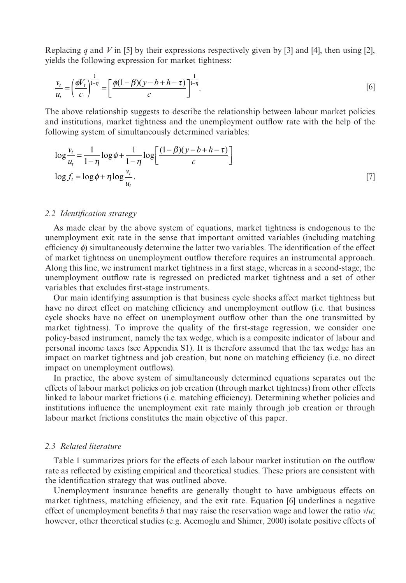Replacing *q* and *V* in [5] by their expressions respectively given by [3] and [4], then using [2], yields the following expression for market tightness:

$$
\frac{v_t}{u_t} = \left(\frac{\phi V_t}{c}\right)^{\frac{1}{1-\eta}} = \left[\frac{\phi(1-\beta)(y-b+h-\tau)}{c}\right]^{\frac{1}{1-\eta}}.
$$
\n[6]

The above relationship suggests to describe the relationship between labour market policies and institutions, market tightness and the unemployment outflow rate with the help of the following system of simultaneously determined variables:

$$
\log \frac{v_t}{u_t} = \frac{1}{1-\eta} \log \phi + \frac{1}{1-\eta} \log \left[ \frac{(1-\beta)(y-b+h-\tau)}{c} \right]
$$
  

$$
\log f_t = \log \phi + \eta \log \frac{v_t}{u_t}.
$$
 [7]

#### *2.2 Identification strategy*

As made clear by the above system of equations, market tightness is endogenous to the unemployment exit rate in the sense that important omitted variables (including matching efficiency *ϕ*) simultaneously determine the latter two variables. The identification of the effect of market tightness on unemployment outflow therefore requires an instrumental approach. Along this line, we instrument market tightness in a first stage, whereas in a second-stage, the unemployment outflow rate is regressed on predicted market tightness and a set of other variables that excludes first-stage instruments.

Our main identifying assumption is that business cycle shocks affect market tightness but have no direct effect on matching efficiency and unemployment outflow (i.e. that business cycle shocks have no effect on unemployment outflow other than the one transmitted by market tightness). To improve the quality of the first-stage regression, we consider one policy-based instrument, namely the tax wedge, which is a composite indicator of labour and personal income taxes (see Appendix S1). It is therefore assumed that the tax wedge has an impact on market tightness and job creation, but none on matching efficiency (i.e. no direct impact on unemployment outflows).

In practice, the above system of simultaneously determined equations separates out the effects of labour market policies on job creation (through market tightness) from other effects linked to labour market frictions (i.e. matching efficiency). Determining whether policies and institutions influence the unemployment exit rate mainly through job creation or through labour market frictions constitutes the main objective of this paper.

#### *2.3 Related literature*

Table 1 summarizes priors for the effects of each labour market institution on the outflow rate as reflected by existing empirical and theoretical studies. These priors are consistent with the identification strategy that was outlined above.

Unemployment insurance benefits are generally thought to have ambiguous effects on market tightness, matching efficiency, and the exit rate. Equation [6] underlines a negative effect of unemployment benefits *b* that may raise the reservation wage and lower the ratio *v*/*u*; however, other theoretical studies (e.g. Acemoglu and Shimer, 2000) isolate positive effects of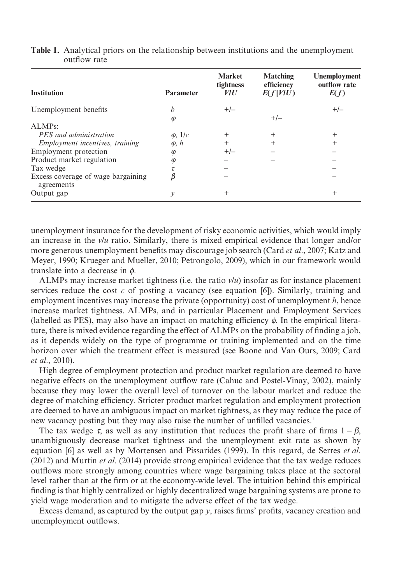| <b>Institution</b>                               | <b>Parameter</b> | <b>Market</b><br>tightness<br><i>VIU</i> | <b>Matching</b><br>efficiency<br>E(f V U) | Unemployment<br>outflow rate<br>E(f) |
|--------------------------------------------------|------------------|------------------------------------------|-------------------------------------------|--------------------------------------|
| Unemployment benefits                            | h                | $+/-$                                    |                                           | $+/-$                                |
|                                                  | $\varphi$        |                                          | $+/-$                                     |                                      |
| ALMPs:                                           |                  |                                          |                                           |                                      |
| PES and administration                           | $\varphi$ , 1/c  | $^{+}$                                   | $^{+}$                                    | $^{+}$                               |
| <i>Employment incentives, training</i>           | $\varphi$ , $h$  | $^{+}$                                   |                                           | $^{+}$                               |
| Employment protection                            | $\varphi$        | $+/-$                                    |                                           |                                      |
| Product market regulation                        | φ                |                                          |                                           |                                      |
| Tax wedge                                        |                  |                                          |                                           |                                      |
| Excess coverage of wage bargaining<br>agreements |                  |                                          |                                           |                                      |
| Output gap                                       | v                | $^{+}$                                   |                                           | $^{+}$                               |

**Table 1.** Analytical priors on the relationship between institutions and the unemployment outflow rate

unemployment insurance for the development of risky economic activities, which would imply an increase in the *v*/*u* ratio. Similarly, there is mixed empirical evidence that longer and/or more generous unemployment benefits may discourage job search (Card *et al*., 2007; Katz and Meyer, 1990; Krueger and Mueller, 2010; Petrongolo, 2009), which in our framework would translate into a decrease in *ϕ*.

ALMPs may increase market tightness (i.e. the ratio  $v/u$ ) insofar as for instance placement services reduce the cost *c* of posting a vacancy (see equation [6]). Similarly, training and employment incentives may increase the private (opportunity) cost of unemployment *h*, hence increase market tightness. ALMPs, and in particular Placement and Employment Services (labelled as PES), may also have an impact on matching efficiency *ϕ*. In the empirical literature, there is mixed evidence regarding the effect of ALMPs on the probability of finding a job, as it depends widely on the type of programme or training implemented and on the time horizon over which the treatment effect is measured (see Boone and Van Ours, 2009; Card *et al*., 2010).

High degree of employment protection and product market regulation are deemed to have negative effects on the unemployment outflow rate (Cahuc and Postel-Vinay, 2002), mainly because they may lower the overall level of turnover on the labour market and reduce the degree of matching efficiency. Stricter product market regulation and employment protection are deemed to have an ambiguous impact on market tightness, as they may reduce the pace of new vacancy posting but they may also raise the number of unfilled vacancies.<sup>1</sup>

The tax wedge  $\tau$ , as well as any institution that reduces the profit share of firms  $1 - \beta$ , unambiguously decrease market tightness and the unemployment exit rate as shown by equation [6] as well as by Mortensen and Pissarides (1999). In this regard, de Serres *et al*. (2012) and Murtin *et al*. (2014) provide strong empirical evidence that the tax wedge reduces outflows more strongly among countries where wage bargaining takes place at the sectoral level rather than at the firm or at the economy-wide level. The intuition behind this empirical finding is that highly centralized or highly decentralized wage bargaining systems are prone to yield wage moderation and to mitigate the adverse effect of the tax wedge.

Excess demand, as captured by the output gap *y*, raises firms' profits, vacancy creation and unemployment outflows.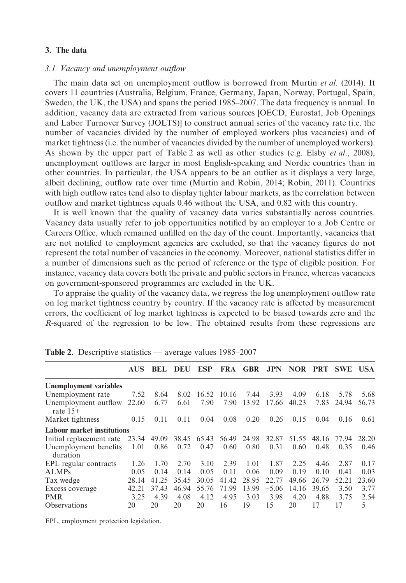#### **3. The data**

#### *3.1 Vacancy and unemployment outflow*

The main data set on unemployment outflow is borrowed from Murtin *et al*. (2014). It covers 11 countries (Australia, Belgium, France, Germany, Japan, Norway, Portugal, Spain, Sweden, the UK, the USA) and spans the period 1985–2007. The data frequency is annual. In addition, vacancy data are extracted from various sources [OECD, Eurostat, Job Openings and Labor Turnover Survey (JOLTS)] to construct annual series of the vacancy rate (i.e. the number of vacancies divided by the number of employed workers plus vacancies) and of market tightness (i.e. the number of vacancies divided by the number of unemployed workers). As shown by the upper part of Table 2 as well as other studies (e.g. Elsby *et al*., 2008), unemployment outflows are larger in most English-speaking and Nordic countries than in other countries. In particular, the USA appears to be an outlier as it displays a very large, albeit declining, outflow rate over time (Murtin and Robin, 2014; Robin, 2011). Countries with high outflow rates tend also to display tighter labour markets, as the correlation between outflow and market tightness equals 0.46 without the USA, and 0.82 with this country.

It is well known that the quality of vacancy data varies substantially across countries. Vacancy data usually refer to job opportunities notified by an employer to a Job Centre or Careers Office, which remained unfilled on the day of the count. Importantly, vacancies that are not notified to employment agencies are excluded, so that the vacancy figures do not represent the total number of vacancies in the economy. Moreover, national statistics differ in a number of dimensions such as the period of reference or the type of eligible position. For instance, vacancy data covers both the private and public sectors in France, whereas vacancies on government-sponsored programmes are excluded in the UK.

To appraise the quality of the vacancy data, we regress the log unemployment outflow rate on log market tightness country by country. If the vacancy rate is affected by measurement errors, the coefficient of log market tightness is expected to be biased towards zero and the *R*-squared of the regression to be low. The obtained results from these regressions are

|                                    | <b>AUS</b> |                         | <b>BEL DEU</b> | <b>ESP</b>  |       | FRA GBR JPN NOR PRT SWE USA |         |       |       |       |       |
|------------------------------------|------------|-------------------------|----------------|-------------|-------|-----------------------------|---------|-------|-------|-------|-------|
| Unemployment variables             |            |                         |                |             |       |                             |         |       |       |       |       |
| Unemployment rate                  | 7.52       | 8.64                    | 8.02           | 16.52 10.16 |       | 7.44                        | 3.93    | 4.09  | 6.18  | 5.78  | 5.68  |
| Unemployment outflow<br>rate $15+$ | 22.60      | 6.77                    | 6.61           | 7.90        | 7.90  | 13.92                       | 17.66   | 40.23 | 7.83  | 24.94 | 56.73 |
| Market tightness                   | 0.15       | 0.11                    | 0.11           | 0.04        | 0.08  | 0.20                        | 0.26    | 0.15  | 0.04  | 0.16  | 0.61  |
| <b>Labour market institutions</b>  |            |                         |                |             |       |                             |         |       |       |       |       |
| Initial replacement rate           |            | 23.34 49.09 38.45 65.43 |                |             |       | 56.49 24.98                 | 32.87   | 51.55 | 48.16 | 77.94 | 28.20 |
| Unemployment benefits<br>duration  | 1.01       | 0.86                    | 0.72           | 0.47        | 0.60  | 0.80                        | 0.31    | 0.60  | 0.48  | 0.35  | 0.46  |
| EPL regular contracts              | 1.26       | 1.70                    | 2.70           | 3.10        | 2.39  | 1.01                        | 1.87    | 2.25  | 4.46  | 2.87  | 0.17  |
| <b>ALMPs</b>                       | 0.05       | 0.14                    | 0.14           | 0.05        | 0.11  | 0.06                        | 0.09    | 0.19  | 0.10  | 0.41  | 0.03  |
| Tax wedge                          | 28.14      | 41.25                   | 35.45          | 30.05       | 41.42 | 28.95                       | 22.77   | 49.66 | 26.79 | 52.21 | 23.60 |
| Excess coverage                    | 42.21      | 37.43                   | 46.94          | 55.76       | 71.99 | 13.99                       | $-5.06$ | 14.16 | 39.65 | 3.50  | 3.77  |
| <b>PMR</b>                         | 3.25       | 4.39                    | 4.08           | 4.12        | 4.95  | 3.03                        | 3.98    | 4.20  | 4.88  | 3.75  | 2.54  |
| Observations                       | 20         | 20                      | 20             | 20          | 16    | 19                          | 15      | 20    | 17    | 17    | 5     |

**Table 2.** Descriptive statistics — average values 1985–2007

EPL, employment protection legislation.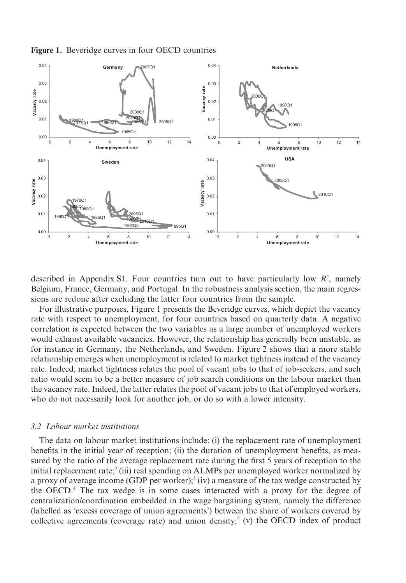**Figure 1.** Beveridge curves in four OECD countries



described in Appendix S1. Four countries turn out to have particularly low  $R^2$ , namely Belgium, France, Germany, and Portugal. In the robustness analysis section, the main regressions are redone after excluding the latter four countries from the sample.

For illustrative purposes, Figure 1 presents the Beveridge curves, which depict the vacancy rate with respect to unemployment, for four countries based on quarterly data. A negative correlation is expected between the two variables as a large number of unemployed workers would exhaust available vacancies. However, the relationship has generally been unstable, as for instance in Germany, the Netherlands, and Sweden. Figure 2 shows that a more stable relationship emerges when unemployment is related to market tightness instead of the vacancy rate. Indeed, market tightness relates the pool of vacant jobs to that of job-seekers, and such ratio would seem to be a better measure of job search conditions on the labour market than the vacancy rate. Indeed, the latter relates the pool of vacant jobs to that of employed workers, who do not necessarily look for another job, or do so with a lower intensity.

#### *3.2 Labour market institutions*

The data on labour market institutions include: (i) the replacement rate of unemployment benefits in the initial year of reception; (ii) the duration of unemployment benefits, as measured by the ratio of the average replacement rate during the first 5 years of reception to the initial replacement rate;2 (iii) real spending on ALMPs per unemployed worker normalized by a proxy of average income (GDP per worker);<sup>3</sup> (iv) a measure of the tax wedge constructed by the OECD.<sup>4</sup> The tax wedge is in some cases interacted with a proxy for the degree of centralization/coordination embedded in the wage bargaining system, namely the difference (labelled as 'excess coverage of union agreements') between the share of workers covered by collective agreements (coverage rate) and union density;<sup>5</sup> (v) the OECD index of product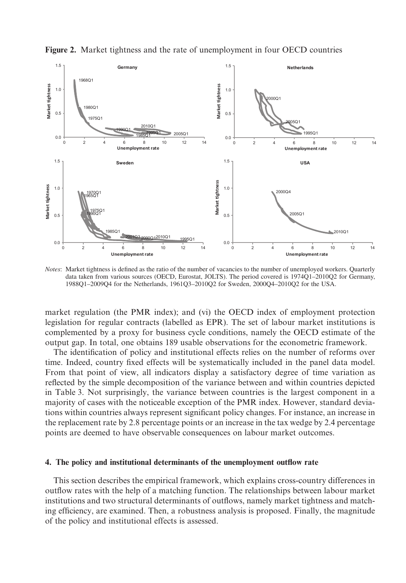

**Figure 2.** Market tightness and the rate of unemployment in four OECD countries

*Notes*: Market tightness is defined as the ratio of the number of vacancies to the number of unemployed workers. Quarterly data taken from various sources (OECD, Eurostat, JOLTS). The period covered is 1974Q1–2010Q2 for Germany, 1988Q1–2009Q4 for the Netherlands, 1961Q3–2010Q2 for Sweden, 2000Q4–2010Q2 for the USA.

market regulation (the PMR index); and (vi) the OECD index of employment protection legislation for regular contracts (labelled as EPR). The set of labour market institutions is complemented by a proxy for business cycle conditions, namely the OECD estimate of the output gap. In total, one obtains 189 usable observations for the econometric framework.

The identification of policy and institutional effects relies on the number of reforms over time. Indeed, country fixed effects will be systematically included in the panel data model. From that point of view, all indicators display a satisfactory degree of time variation as reflected by the simple decomposition of the variance between and within countries depicted in Table 3. Not surprisingly, the variance between countries is the largest component in a majority of cases with the noticeable exception of the PMR index. However, standard deviations within countries always represent significant policy changes. For instance, an increase in the replacement rate by 2.8 percentage points or an increase in the tax wedge by 2.4 percentage points are deemed to have observable consequences on labour market outcomes.

#### **4. The policy and institutional determinants of the unemployment outflow rate**

This section describes the empirical framework, which explains cross-country differences in outflow rates with the help of a matching function. The relationships between labour market institutions and two structural determinants of outflows, namely market tightness and matching efficiency, are examined. Then, a robustness analysis is proposed. Finally, the magnitude of the policy and institutional effects is assessed.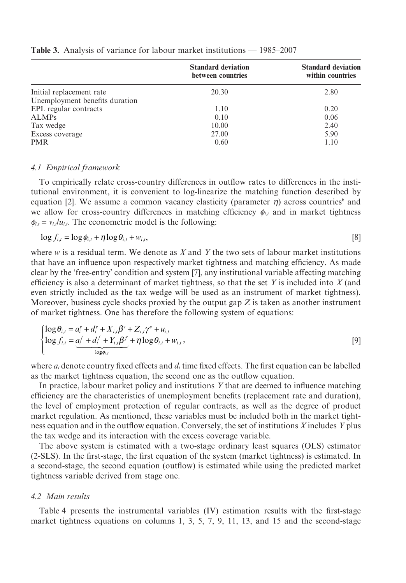|                                | <b>Standard deviation</b><br>between countries | <b>Standard deviation</b><br>within countries |
|--------------------------------|------------------------------------------------|-----------------------------------------------|
| Initial replacement rate       | 20.30                                          | 2.80                                          |
| Unemployment benefits duration |                                                |                                               |
| EPL regular contracts          | 1.10                                           | 0.20                                          |
| <b>ALMPs</b>                   | 0.10                                           | 0.06                                          |
| Tax wedge                      | 10.00                                          | 2.40                                          |
| Excess coverage                | 27.00                                          | 5.90                                          |
| <b>PMR</b>                     | 0.60                                           | 1.10                                          |

**Table 3.** Analysis of variance for labour market institutions — 1985–2007

#### *4.1 Empirical framework*

To empirically relate cross-country differences in outflow rates to differences in the institutional environment, it is convenient to log-linearize the matching function described by equation [2]. We assume a common vacancy elasticity (parameter  $\eta$ ) across countries<sup>6</sup> and we allow for cross-country differences in matching efficiency *ϕ<sup>i</sup>*,*<sup>t</sup>* and in market tightness  $\phi_{i,t} = v_{i,t}/u_{i,t}$ . The econometric model is the following:

$$
\log f_{i,t} = \log \phi_{i,t} + \eta \log \theta_{i,t} + w_{i,t},\tag{8}
$$

where *w* is a residual term. We denote as *X* and *Y* the two sets of labour market institutions that have an influence upon respectively market tightness and matching efficiency. As made clear by the 'free-entry' condition and system [7], any institutional variable affecting matching efficiency is also a determinant of market tightness, so that the set *Y* is included into *X* (and even strictly included as the tax wedge will be used as an instrument of market tightness). Moreover, business cycle shocks proxied by the output gap *Z* is taken as another instrument of market tightness. One has therefore the following system of equations:

$$
\begin{cases}\n\log \theta_{i,t} = a_i^v + d_t^v + X_{i,t} \beta^v + Z_{i,t} \gamma^v + u_{i,t} \\
\log f_{i,t} = \underbrace{a_i^f + d_t^f + Y_{i,t} \beta^f}_{\log \phi_{i,t}} + \eta \log \theta_{i,t} + w_{i,t},\n\end{cases} \tag{9}
$$

where  $a_i$  denote country fixed effects and  $d_i$  time fixed effects. The first equation can be labelled as the market tightness equation, the second one as the outflow equation.

In practice, labour market policy and institutions *Y* that are deemed to influence matching efficiency are the characteristics of unemployment benefits (replacement rate and duration), the level of employment protection of regular contracts, as well as the degree of product market regulation. As mentioned, these variables must be included both in the market tightness equation and in the outflow equation. Conversely, the set of institutions *X* includes *Y* plus the tax wedge and its interaction with the excess coverage variable.

The above system is estimated with a two-stage ordinary least squares (OLS) estimator (2-SLS). In the first-stage, the first equation of the system (market tightness) is estimated. In a second-stage, the second equation (outflow) is estimated while using the predicted market tightness variable derived from stage one.

#### *4.2 Main results*

Table 4 presents the instrumental variables (IV) estimation results with the first-stage market tightness equations on columns 1, 3, 5, 7, 9, 11, 13, and 15 and the second-stage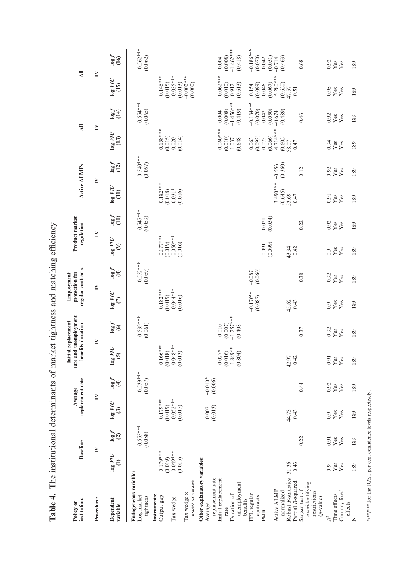| <b>institution:</b><br>Policy or                               | <b>Baseline</b>                  |                       | replacement rate<br>Average                      |                         | rate and unemployment<br>Initial replacement<br>benefits duration |                                    | regular contracts<br>protection for<br>Employment |                         | Product market<br>regulation                    |                         | Active ALMPs                                                                              |                       | $\overline{a}$                           |                                    |                                   | $\overline{a}$                     |
|----------------------------------------------------------------|----------------------------------|-----------------------|--------------------------------------------------|-------------------------|-------------------------------------------------------------------|------------------------------------|---------------------------------------------------|-------------------------|-------------------------------------------------|-------------------------|-------------------------------------------------------------------------------------------|-----------------------|------------------------------------------|------------------------------------|-----------------------------------|------------------------------------|
| Procedure:                                                     | ≧                                |                       | ≧                                                |                         | ≧                                                                 |                                    | ≧                                                 |                         | ≧                                               |                         | ≧                                                                                         |                       | ≧                                        |                                    | ≧                                 |                                    |
| Dependent<br>variable:                                         | $\log~UU$<br>$\widehat{E}$       | $\log f$              | $_{\log \, {\it MU}}$<br>$\widehat{\mathcal{C}}$ | $\frac{1}{2}$           | $\log~UU$<br>$\widehat{\mathbf{c}}$                               | $\frac{1}{9}$                      | $\log~UU$<br>$\widehat{c}$                        | $\frac{10g}{8}$         | $\log \mathit{VIC}$<br>$\widehat{\mathfrak{G}}$ | िहाँ<br>पुरु            | $\log~UU$<br>$\widehat{\Xi}$                                                              | log(12)               | $\log \mathit{VIC}$<br>$\left(13\right)$ | $\frac{1}{2}$                      | $\log~VIU$<br>(15)                | $\frac{\log f}{\log f}$            |
| Endogeneous variable:<br>Log market<br>tightness               |                                  | $0.555***$<br>(0.058) |                                                  | $0.539***$<br>$(0.057)$ |                                                                   | $0.539***$<br>$(0.061)$            |                                                   | $0.552***$<br>$(0.059)$ |                                                 | $0.547***$<br>$(0.059)$ |                                                                                           | $0.540***$<br>(0.057) |                                          | $0.554***$<br>$(0.065)$            |                                   | $0.562***$<br>$(0.062)$            |
| Instruments:<br>Output gap                                     | $0.179***$                       |                       | $0.179***$                                       |                         | $0.166***$                                                        |                                    | $0.182***$                                        |                         | $0.177***$                                      |                         |                                                                                           |                       | $0.158***$                               |                                    | $0.146***$                        |                                    |
| Tax wedge                                                      | $-0.049**$<br>(0.019)<br>(0.015) |                       | $-0.052***$<br>(0.019)<br>(0.015)                |                         | $-0.048***$<br>(0.018)<br>(0.013)                                 |                                    | $-0.044***$<br>(0.019)<br>(0.016)                 |                         | $-0.050$ **<br>(0.019)<br>(0.016)               |                         | $\begin{array}{c} 0.182^{***} \\ (0.018) \\ (0.018) \\ -0.031^{*} \\ (0.016) \end{array}$ |                       | (0.015)<br>(0.014)<br>$-0.020$           |                                    | $-0.035***$<br>(0.015)<br>(0.013) |                                    |
| excess coverage<br>Tax wedge ×                                 |                                  |                       |                                                  |                         |                                                                   |                                    |                                                   |                         |                                                 |                         |                                                                                           |                       |                                          |                                    | $-0.002***$<br>(0.000)            |                                    |
| Other explanatory variables:<br>Average                        |                                  |                       | $0.007$                                          | $-0.010*$               |                                                                   |                                    |                                                   |                         |                                                 |                         |                                                                                           |                       |                                          |                                    |                                   |                                    |
| replacement rate<br>Initial replacement<br>Duration of<br>rate |                                  |                       | (0.013)                                          | (0.006)                 | $1.849**$<br>$-0.027*$<br>(0.016)                                 | $-1.257***$<br>(0.007)<br>$-0.010$ |                                                   |                         |                                                 |                         |                                                                                           |                       | $-0.060***$<br>(0.010)<br>1.037          | $-1.456***$<br>(0.008)<br>$-0.004$ | $-0.062***$<br>(0.010)<br>0.912   | $-1.462***$<br>(0.008)<br>$-0.004$ |
| unemployment<br>benefits                                       |                                  |                       |                                                  |                         | (0.804)                                                           | (0.408)                            |                                                   |                         |                                                 |                         |                                                                                           |                       | (0.648)                                  | (0.419)                            | (0.613)                           | (0.418)                            |
| EPL regular<br>contracts<br><b>PMR</b>                         |                                  |                       |                                                  |                         |                                                                   |                                    | $-0.176**$<br>(0.087)                             | $-0.087$<br>$(0.060)$   | 0.091                                           | 0.021                   |                                                                                           |                       | (0.093)<br>0.063<br>0.073                | $-0.184***$<br>(0.070)<br>0.043    | (0.099)<br>0.154<br>0.046         | $-0.186***$<br>(0.070)<br>0.042    |
| Active ALMP                                                    |                                  |                       |                                                  |                         |                                                                   |                                    |                                                   |                         | (0.099)                                         | (0.054)                 | $3.490***$                                                                                | $-0.556$              | 4.714***<br>(0.066)                      | (0.050)<br>$-0.674$                | 5.280***<br>(0.067)               | (0.051)<br>$-0.714$                |
| Robust F-statistics<br>Partial R-squared<br>normalized         | 31.36<br>0.43                    |                       | 44.73<br>0.43                                    |                         | 42.97<br>0.42                                                     |                                    | 45.62<br>0.43                                     |                         | 43.34<br>0.42                                   |                         | (0.645)<br>53.69<br>0.47                                                                  | (0.360)               | (0.602)<br>58.07<br>0.47                 | (0.489)                            | (0.620)<br>47.57<br>0.51          | (0.463)                            |
| overidentifying<br>Sargan test of<br>restrictions<br>(p-value) |                                  | 0.22                  |                                                  | 0.44                    |                                                                   | 0.37                               |                                                   | 0.38                    |                                                 | 0.22                    |                                                                                           | 0.12                  |                                          | 0.46                               |                                   | 0.68                               |
| $\mathbb{R}^2$                                                 | 0.9                              | 0.91                  | 0.9                                              | 0.92                    | 0.91                                                              | 0.92                               | 0.9                                               | 0.92                    | 0.9                                             | 0.92                    | 0.91                                                                                      | 0.92                  | 0.94                                     | 0.92                               | 0.95                              | 0.92                               |
| Country fixed<br>Time effects                                  | Yes<br>Yes                       | Yes<br>Yes            | Yes<br>Yes                                       | Yes<br>Yes              | Yes<br>Yes                                                        | Yes<br>Yes                         | $Y$ es<br>$Y$ es                                  | $_{\rm Yes}^{\rm Yes}$  | Yes<br>Yes                                      | Yes<br>Yes              | $Y$ es<br>$Y$ es                                                                          | Yes<br>Yes            | Yes<br>Yes                               | Yes<br>Yes                         | Yes<br>Yes                        | Yes<br>Yes                         |
| effects<br>Z                                                   | 189                              | 189                   | 189                                              | 189                     | 189                                                               | 189                                | 189                                               | 189                     | 189                                             | 189                     | 189                                                                                       | 189                   | 189                                      | 189                                | 189                               | 189                                |

Table 4. The institutional determinants of market tightness and matching efficiency **Table 4.** The institutional determinants of market tightness and matching efficiency

\*/\*\*\* for the 10/5/1 per cent confidence levels respectively. \*/\*\*/\*\*\* for the 10/5/1 per cent confidence levels respectively.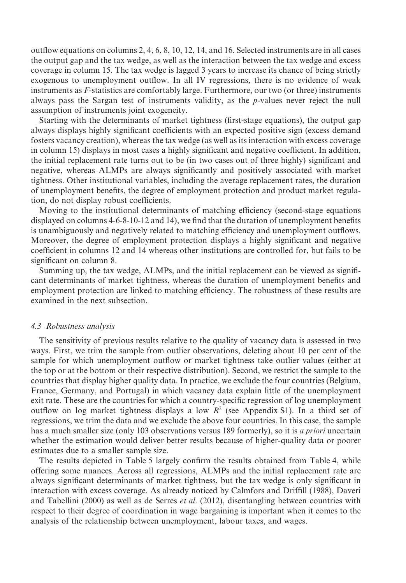outflow equations on columns 2, 4, 6, 8, 10, 12, 14, and 16. Selected instruments are in all cases the output gap and the tax wedge, as well as the interaction between the tax wedge and excess coverage in column 15. The tax wedge is lagged 3 years to increase its chance of being strictly exogenous to unemployment outflow. In all IV regressions, there is no evidence of weak instruments as *F*-statistics are comfortably large. Furthermore, our two (or three) instruments always pass the Sargan test of instruments validity, as the *p*-values never reject the null assumption of instruments joint exogeneity.

Starting with the determinants of market tightness (first-stage equations), the output gap always displays highly significant coefficients with an expected positive sign (excess demand fosters vacancy creation), whereas the tax wedge (as well as its interaction with excess coverage in column 15) displays in most cases a highly significant and negative coefficient. In addition, the initial replacement rate turns out to be (in two cases out of three highly) significant and negative, whereas ALMPs are always significantly and positively associated with market tightness. Other institutional variables, including the average replacement rates, the duration of unemployment benefits, the degree of employment protection and product market regulation, do not display robust coefficients.

Moving to the institutional determinants of matching efficiency (second-stage equations displayed on columns 4-6-8-10-12 and 14), we find that the duration of unemployment benefits is unambiguously and negatively related to matching efficiency and unemployment outflows. Moreover, the degree of employment protection displays a highly significant and negative coefficient in columns 12 and 14 whereas other institutions are controlled for, but fails to be significant on column 8.

Summing up, the tax wedge, ALMPs, and the initial replacement can be viewed as significant determinants of market tightness, whereas the duration of unemployment benefits and employment protection are linked to matching efficiency. The robustness of these results are examined in the next subsection.

#### *4.3 Robustness analysis*

The sensitivity of previous results relative to the quality of vacancy data is assessed in two ways. First, we trim the sample from outlier observations, deleting about 10 per cent of the sample for which unemployment outflow or market tightness take outlier values (either at the top or at the bottom or their respective distribution). Second, we restrict the sample to the countries that display higher quality data. In practice, we exclude the four countries (Belgium, France, Germany, and Portugal) in which vacancy data explain little of the unemployment exit rate. These are the countries for which a country-specific regression of log unemployment outflow on log market tightness displays a low  $R^2$  (see Appendix S1). In a third set of regressions, we trim the data and we exclude the above four countries. In this case, the sample has a much smaller size (only 103 observations versus 189 formerly), so it is *a priori* uncertain whether the estimation would deliver better results because of higher-quality data or poorer estimates due to a smaller sample size.

The results depicted in Table 5 largely confirm the results obtained from Table 4, while offering some nuances. Across all regressions, ALMPs and the initial replacement rate are always significant determinants of market tightness, but the tax wedge is only significant in interaction with excess coverage. As already noticed by Calmfors and Driffill (1988), Daveri and Tabellini (2000) as well as de Serres *et al*. (2012), disentangling between countries with respect to their degree of coordination in wage bargaining is important when it comes to the analysis of the relationship between unemployment, labour taxes, and wages.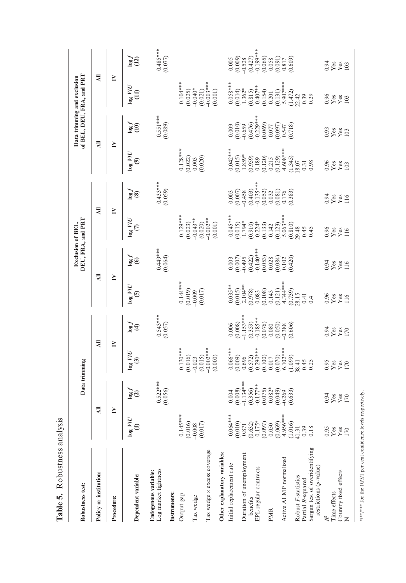Table 5. Robustness analysis **Table 5.** Robustness analysis

\*/\*\*\* for the 10/5/1 per cent confidence levels respectively. \*/\*\*\* for the 10/5/1 per cent confidence levels respectively.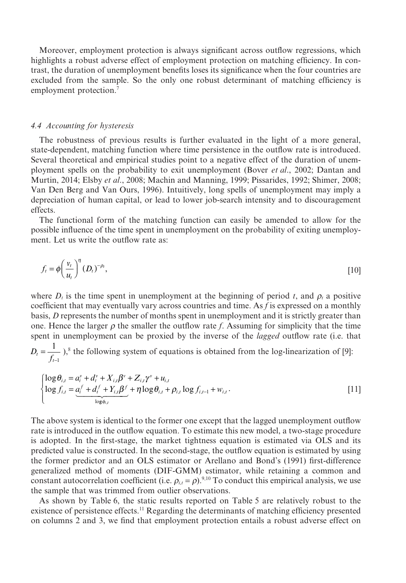Moreover, employment protection is always significant across outflow regressions, which highlights a robust adverse effect of employment protection on matching efficiency. In contrast, the duration of unemployment benefits loses its significance when the four countries are excluded from the sample. So the only one robust determinant of matching efficiency is employment protection.<sup>7</sup>

#### *4.4 Accounting for hysteresis*

The robustness of previous results is further evaluated in the light of a more general, state-dependent, matching function where time persistence in the outflow rate is introduced. Several theoretical and empirical studies point to a negative effect of the duration of unemployment spells on the probability to exit unemployment (Bover *et al*., 2002; Dantan and Murtin, 2014; Elsby *et al*., 2008; Machin and Manning, 1999; Pissarides, 1992; Shimer, 2008; Van Den Berg and Van Ours, 1996). Intuitively, long spells of unemployment may imply a depreciation of human capital, or lead to lower job-search intensity and to discouragement effects.

The functional form of the matching function can easily be amended to allow for the possible influence of the time spent in unemployment on the probability of exiting unemployment. Let us write the outflow rate as:

$$
f_t = \phi \left(\frac{v_t}{u_t}\right)^{\eta} (D_t)^{-\rho_t},\tag{10}
$$

where  $D_t$  is the time spent in unemployment at the beginning of period *t*, and  $\rho_t$  a positive coefficient that may eventually vary across countries and time. As *f* is expressed on a monthly basis, *D* represents the number of months spent in unemployment and it is strictly greater than one. Hence the larger  $\rho$  the smaller the outflow rate *f*. Assuming for simplicity that the time spent in unemployment can be proxied by the inverse of the *lagged* outflow rate (i.e. that

 $D_t = \frac{t}{f_t}$ = − 1 1  $,$ <sup>8</sup> the following system of equations is obtained from the log-linearization of [9]:

$$
\begin{cases}\n\log \theta_{i,t} = a_i^v + d_t^v + X_{i,t} \beta^v + Z_{i,t} \gamma^v + u_{i,t} \\
\log f_{i,t} = \underbrace{a_i^f + d_t^f + Y_{i,t} \beta^f}_{\log \phi_{i,t}} + \eta \log \theta_{i,t} + \rho_{i,t} \log f_{i,t-1} + w_{i,t}.\n\end{cases} [11]
$$

The above system is identical to the former one except that the lagged unemployment outflow rate is introduced in the outflow equation. To estimate this new model, a two-stage procedure is adopted. In the first-stage, the market tightness equation is estimated via OLS and its predicted value is constructed. In the second-stage, the outflow equation is estimated by using the former predictor and an OLS estimator or Arellano and Bond's (1991) first-difference generalized method of moments (DIF-GMM) estimator, while retaining a common and constant autocorrelation coefficient (i.e.  $\rho_{i,t} = \rho$ ).<sup>9,10</sup> To conduct this empirical analysis, we use the sample that was trimmed from outlier observations.

As shown by Table 6, the static results reported on Table 5 are relatively robust to the existence of persistence effects.<sup>11</sup> Regarding the determinants of matching efficiency presented on columns 2 and 3, we find that employment protection entails a robust adverse effect on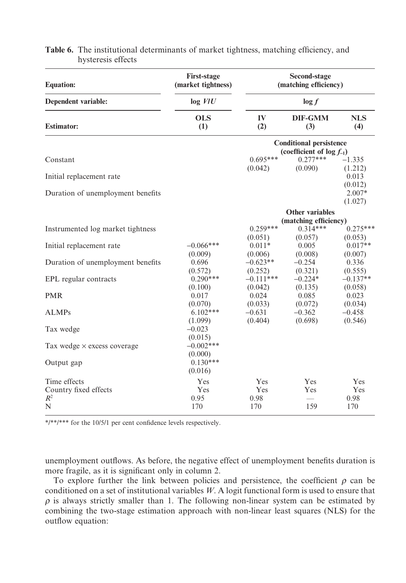| <b>Equation:</b>                   | <b>First-stage</b><br>(market tightness) |                                | Second-stage<br>(matching efficiency)                            |                                 |
|------------------------------------|------------------------------------------|--------------------------------|------------------------------------------------------------------|---------------------------------|
| Dependent variable:                | $log$ <i>VIU</i>                         |                                | $\log f$                                                         |                                 |
| <b>Estimator:</b>                  | <b>OLS</b><br>(1)                        | IV<br>(2)                      | <b>DIF-GMM</b><br>(3)                                            | <b>NLS</b><br>(4)               |
|                                    |                                          |                                | <b>Conditional persistence</b><br>(coefficient of $log f_{-1}$ ) |                                 |
| Constant                           |                                          | $0.695***$                     | $0.277***$                                                       | $-1.335$                        |
| Initial replacement rate           |                                          | (0.042)                        | (0.090)                                                          | (1.212)<br>0.013<br>(0.012)     |
| Duration of unemployment benefits  |                                          |                                |                                                                  | $2.007*$<br>(1.027)             |
|                                    |                                          |                                | <b>Other variables</b>                                           |                                 |
|                                    |                                          |                                | (matching efficiency)                                            |                                 |
| Instrumented log market tightness  |                                          | $0.259***$                     | $0.314***$                                                       | $0.275***$                      |
| Initial replacement rate           | $-0.066***$<br>(0.009)                   | (0.051)<br>$0.011*$<br>(0.006) | (0.057)<br>0.005<br>(0.008)                                      | (0.053)<br>$0.017**$<br>(0.007) |
| Duration of unemployment benefits  | 0.696<br>(0.572)                         | $-0.623**$<br>(0.252)          | $-0.254$<br>(0.321)                                              | 0.336<br>(0.555)                |
| EPL regular contracts              | $0.290***$<br>(0.100)                    | $-0.111***$<br>(0.042)         | $-0.224*$<br>(0.135)                                             | $-0.137**$<br>(0.058)           |
| <b>PMR</b>                         | 0.017                                    | 0.024                          | 0.085                                                            | 0.023                           |
| <b>ALMPs</b>                       | (0.070)<br>$6.102***$<br>(1.099)         | (0.033)<br>$-0.631$<br>(0.404) | (0.072)<br>$-0.362$<br>(0.698)                                   | (0.034)<br>$-0.458$<br>(0.546)  |
| Tax wedge                          | $-0.023$<br>(0.015)                      |                                |                                                                  |                                 |
| Tax wedge $\times$ excess coverage | $-0.002***$<br>(0.000)                   |                                |                                                                  |                                 |
| Output gap                         | $0.130***$<br>(0.016)                    |                                |                                                                  |                                 |
| Time effects                       | Yes                                      | Yes                            | <b>Yes</b>                                                       | Yes                             |
| Country fixed effects              | Yes                                      | Yes                            | Yes                                                              | Yes                             |
| $R^2$                              | 0.95                                     | 0.98                           |                                                                  | 0.98                            |
| N                                  | 170                                      | 170                            | 159                                                              | 170                             |

#### **Table 6.** The institutional determinants of market tightness, matching efficiency, and hysteresis effects

\*/\*\*/\*\*\* for the 10/5/1 per cent confidence levels respectively.

unemployment outflows. As before, the negative effect of unemployment benefits duration is more fragile, as it is significant only in column 2.

To explore further the link between policies and persistence, the coefficient  $\rho$  can be conditioned on a set of institutional variables *W*. A logit functional form is used to ensure that  $\rho$  is always strictly smaller than 1. The following non-linear system can be estimated by combining the two-stage estimation approach with non-linear least squares (NLS) for the outflow equation: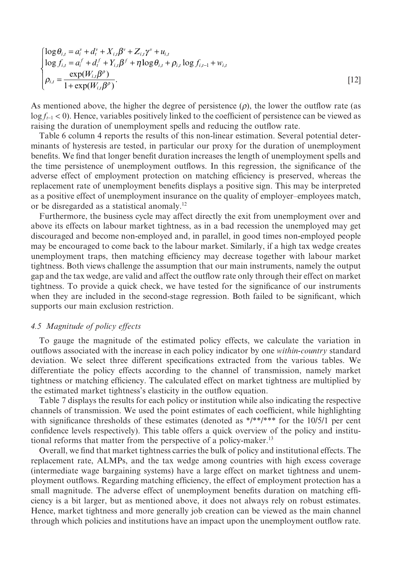$$
\begin{cases}\n\log \theta_{i,t} = a_i^v + d_t^v + X_{i,t} \beta^v + Z_{i,t} \gamma^v + u_{i,t} \\
\log f_{i,t} = a_i^f + d_t^f + Y_{i,t} \beta^f + \eta \log \theta_{i,t} + \rho_{i,t} \log f_{i,t-1} + w_{i,t} \\
\rho_{i,t} = \frac{\exp(W_{i,t} \beta^{\rho})}{1 + \exp(W_{i,t} \beta^{\rho})}.\n\end{cases}
$$
\n[12]

As mentioned above, the higher the degree of persistence  $(\rho)$ , the lower the outflow rate (as log *ft*−<sup>1</sup> < 0). Hence, variables positively linked to the coefficient of persistence can be viewed as raising the duration of unemployment spells and reducing the outflow rate.

Table 6 column 4 reports the results of this non-linear estimation. Several potential determinants of hysteresis are tested, in particular our proxy for the duration of unemployment benefits. We find that longer benefit duration increases the length of unemployment spells and the time persistence of unemployment outflows. In this regression, the significance of the adverse effect of employment protection on matching efficiency is preserved, whereas the replacement rate of unemployment benefits displays a positive sign. This may be interpreted as a positive effect of unemployment insurance on the quality of employer–employees match, or be disregarded as a statistical anomaly.12

Furthermore, the business cycle may affect directly the exit from unemployment over and above its effects on labour market tightness, as in a bad recession the unemployed may get discouraged and become non-employed and, in parallel, in good times non-employed people may be encouraged to come back to the labour market. Similarly, if a high tax wedge creates unemployment traps, then matching efficiency may decrease together with labour market tightness. Both views challenge the assumption that our main instruments, namely the output gap and the tax wedge, are valid and affect the outflow rate only through their effect on market tightness. To provide a quick check, we have tested for the significance of our instruments when they are included in the second-stage regression. Both failed to be significant, which supports our main exclusion restriction.

#### *4.5 Magnitude of policy effects*

To gauge the magnitude of the estimated policy effects, we calculate the variation in outflows associated with the increase in each policy indicator by one *within-country* standard deviation. We select three different specifications extracted from the various tables. We differentiate the policy effects according to the channel of transmission, namely market tightness or matching efficiency. The calculated effect on market tightness are multiplied by the estimated market tightness's elasticity in the outflow equation.

Table 7 displays the results for each policy or institution while also indicating the respective channels of transmission. We used the point estimates of each coefficient, while highlighting with significance thresholds of these estimates (denoted as \*/\*\*/\*\*\* for the 10/5/1 per cent confidence levels respectively). This table offers a quick overview of the policy and institutional reforms that matter from the perspective of a policy-maker.<sup>13</sup>

Overall, we find that market tightness carries the bulk of policy and institutional effects. The replacement rate, ALMPs, and the tax wedge among countries with high excess coverage (intermediate wage bargaining systems) have a large effect on market tightness and unemployment outflows. Regarding matching efficiency, the effect of employment protection has a small magnitude. The adverse effect of unemployment benefits duration on matching efficiency is a bit larger, but as mentioned above, it does not always rely on robust estimates. Hence, market tightness and more generally job creation can be viewed as the main channel through which policies and institutions have an impact upon the unemployment outflow rate.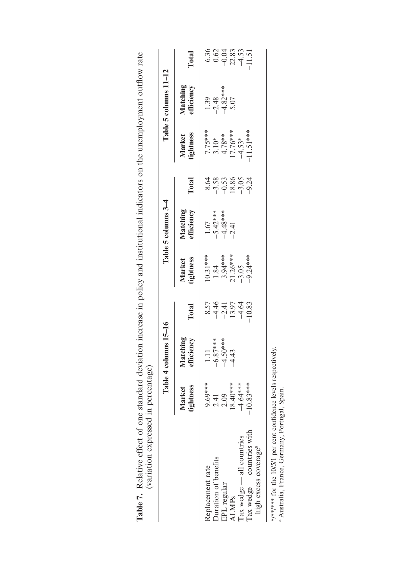|                                                                 |                                                    | Table 4 columns 15-16                      |                                                     |                                                                   | Table 5 columns 3-4                                                  |                                                       |                                                               | Table 5 columns 11-12                                 |                                   |
|-----------------------------------------------------------------|----------------------------------------------------|--------------------------------------------|-----------------------------------------------------|-------------------------------------------------------------------|----------------------------------------------------------------------|-------------------------------------------------------|---------------------------------------------------------------|-------------------------------------------------------|-----------------------------------|
|                                                                 | Market<br>tightness                                | Matching<br>efficiency                     | Total                                               | Market<br>tightness                                               | Matching<br>efficiency                                               | Total                                                 | Market<br>tightness                                           | Matching<br>efficiency                                | Total                             |
| Replacement rate                                                |                                                    |                                            |                                                     |                                                                   |                                                                      |                                                       |                                                               |                                                       |                                   |
| Duration of benefits                                            | $-9.69***$<br>2.41<br>2.09<br>18.40***<br>14.64*** | 1.11<br>$-6.87***$<br>$-4.50***$<br>$-4.3$ | $-8.57$<br>$-4.45$<br>$-1.55$<br>$-1.53$<br>$-1.53$ | $-10.31***$<br>1.84<br>1.84<br>3.94 ***<br>21.26 ***<br>-9.24 *** | $\begin{array}{r} 1.67 \\ -5.42*** \\ -4.48*** \\ -2.41 \end{array}$ | 4 5 5 5 5 5 7 5<br>4 7 6 7 8 9 5 7 7<br>4 7 9 1 9 7 9 | $-7.75***$<br>3.10*<br>4.78**<br>4.53*<br>17.76***<br>4.51*** | $\frac{1.39}{-2.48}$<br>$\frac{-2.48}{-4.82}$<br>5.07 | $634337$<br>$-0.03833$<br>$-1.51$ |
| EPL regular                                                     |                                                    |                                            |                                                     |                                                                   |                                                                      |                                                       |                                                               |                                                       |                                   |
| ALMPs                                                           |                                                    |                                            |                                                     |                                                                   |                                                                      |                                                       |                                                               |                                                       |                                   |
| Iax wedge - all countries                                       |                                                    |                                            |                                                     |                                                                   |                                                                      |                                                       |                                                               |                                                       |                                   |
| Tax wedge - countries with<br>high excess coverage <sup>a</sup> | $-10.83***$                                        |                                            |                                                     |                                                                   |                                                                      |                                                       |                                                               |                                                       |                                   |

| loumant outflour rata<br>3<br>THATATH ATTA TTO O<br>ard dation increase in palos and incritential indicators on the incom<br>֧֦֧֦֓֕֝<br>manari mm faro. |                   |
|---------------------------------------------------------------------------------------------------------------------------------------------------------|-------------------|
|                                                                                                                                                         |                   |
| TT ARANA<br>one standard deviation                                                                                                                      | i<br>j<br>ed in p |
|                                                                                                                                                         |                   |

\*/\*\*/\*\*\* for the 10/5/1 per cent confidence levels respectively. "/""/""" ior the 10/5/1 per cent connaence ievels respectively.<br><sup>a</sup> Australia, France, Germany, Portugal, Spain. Australia, France, Germany, Portugal, Spain.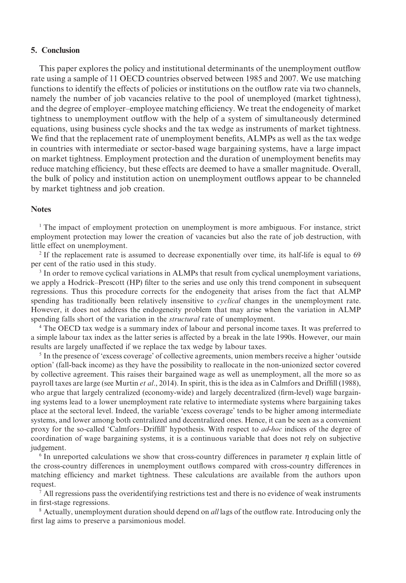#### **5. Conclusion**

This paper explores the policy and institutional determinants of the unemployment outflow rate using a sample of 11 OECD countries observed between 1985 and 2007. We use matching functions to identify the effects of policies or institutions on the outflow rate via two channels, namely the number of job vacancies relative to the pool of unemployed (market tightness), and the degree of employer–employee matching efficiency. We treat the endogeneity of market tightness to unemployment outflow with the help of a system of simultaneously determined equations, using business cycle shocks and the tax wedge as instruments of market tightness. We find that the replacement rate of unemployment benefits, ALMPs as well as the tax wedge in countries with intermediate or sector-based wage bargaining systems, have a large impact on market tightness. Employment protection and the duration of unemployment benefits may reduce matching efficiency, but these effects are deemed to have a smaller magnitude. Overall, the bulk of policy and institution action on unemployment outflows appear to be channeled by market tightness and job creation.

#### **Notes**

<sup>1</sup> The impact of employment protection on unemployment is more ambiguous. For instance, strict employment protection may lower the creation of vacancies but also the rate of job destruction, with little effect on unemployment.

<sup>2</sup> If the replacement rate is assumed to decrease exponentially over time, its half-life is equal to 69 per cent of the ratio used in this study.

<sup>3</sup> In order to remove cyclical variations in ALMPs that result from cyclical unemployment variations, we apply a Hodrick–Prescott (HP) filter to the series and use only this trend component in subsequent regressions. Thus this procedure corrects for the endogeneity that arises from the fact that ALMP spending has traditionally been relatively insensitive to *cyclical* changes in the unemployment rate. However, it does not address the endogeneity problem that may arise when the variation in ALMP spending falls short of the variation in the *structural* rate of unemployment.

<sup>4</sup> The OECD tax wedge is a summary index of labour and personal income taxes. It was preferred to a simple labour tax index as the latter series is affected by a break in the late 1990s. However, our main results are largely unaffected if we replace the tax wedge by labour taxes.

<sup>5</sup> In the presence of 'excess coverage' of collective agreements, union members receive a higher 'outside option' (fall-back income) as they have the possibility to reallocate in the non-unionized sector covered by collective agreement. This raises their bargained wage as well as unemployment, all the more so as payroll taxes are large (see Murtin *et al*., 2014). In spirit, this is the idea as in Calmfors and Driffill (1988), who argue that largely centralized (economy-wide) and largely decentralized (firm-level) wage bargaining systems lead to a lower unemployment rate relative to intermediate systems where bargaining takes place at the sectoral level. Indeed, the variable 'excess coverage' tends to be higher among intermediate systems, and lower among both centralized and decentralized ones. Hence, it can be seen as a convenient proxy for the so-called 'Calmfors–Driffill' hypothesis. With respect to *ad-hoc* indices of the degree of coordination of wage bargaining systems, it is a continuous variable that does not rely on subjective judgement.

<sup>6</sup> In unreported calculations we show that cross-country differences in parameter *η* explain little of the cross-country differences in unemployment outflows compared with cross-country differences in matching efficiency and market tightness. These calculations are available from the authors upon request.

 $^7$  All regressions pass the overidentifying restrictions test and there is no evidence of weak instruments in first-stage regressions.

<sup>8</sup> Actually, unemployment duration should depend on *all* lags of the outflow rate. Introducing only the first lag aims to preserve a parsimonious model.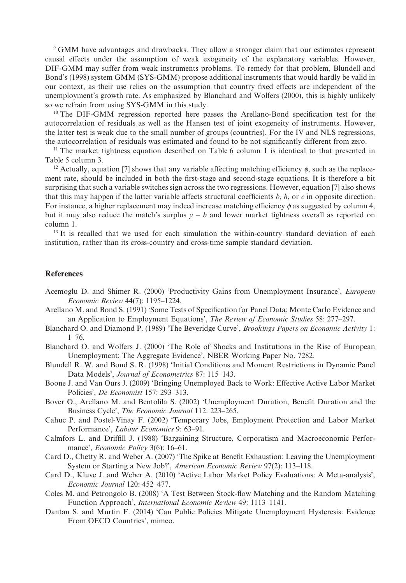<sup>9</sup> GMM have advantages and drawbacks. They allow a stronger claim that our estimates represent causal effects under the assumption of weak exogeneity of the explanatory variables. However, DIF-GMM may suffer from weak instruments problems. To remedy for that problem, Blundell and Bond's (1998) system GMM (SYS-GMM) propose additional instruments that would hardly be valid in our context, as their use relies on the assumption that country fixed effects are independent of the unemployment's growth rate. As emphasized by Blanchard and Wolfers (2000), this is highly unlikely so we refrain from using SYS-GMM in this study.

<sup>10</sup> The DIF-GMM regression reported here passes the Arellano-Bond specification test for the autocorrelation of residuals as well as the Hansen test of joint exogeneity of instruments. However, the latter test is weak due to the small number of groups (countries). For the IV and NLS regressions, the autocorrelation of residuals was estimated and found to be not significantly different from zero.

<sup>11</sup> The market tightness equation described on Table 6 column 1 is identical to that presented in Table 5 column 3.

<sup>12</sup> Actually, equation [7] shows that any variable affecting matching efficiency  $\phi$ , such as the replacement rate, should be included in both the first-stage and second-stage equations. It is therefore a bit surprising that such a variable switches sign across the two regressions. However, equation [7] also shows that this may happen if the latter variable affects structural coefficients  $b$ ,  $h$ , or  $c$  in opposite direction. For instance, a higher replacement may indeed increase matching efficiency *ϕ* as suggested by column 4, but it may also reduce the match's surplus  $y - b$  and lower market tightness overall as reported on column 1.

<sup>13</sup> It is recalled that we used for each simulation the within-country standard deviation of each institution, rather than its cross-country and cross-time sample standard deviation.

#### **References**

- Acemoglu D. and Shimer R. (2000) 'Productivity Gains from Unemployment Insurance', *European Economic Review* 44(7): 1195–1224.
- Arellano M. and Bond S. (1991) 'Some Tests of Specification for Panel Data: Monte Carlo Evidence and an Application to Employment Equations', *The Review of Economic Studies* 58: 277–297.
- Blanchard O. and Diamond P. (1989) 'The Beveridge Curve', *Brookings Papers on Economic Activity* 1:  $1 - 76$
- Blanchard O. and Wolfers J. (2000) 'The Role of Shocks and Institutions in the Rise of European Unemployment: The Aggregate Evidence', NBER Working Paper No. 7282.
- Blundell R. W. and Bond S. R. (1998) 'Initial Conditions and Moment Restrictions in Dynamic Panel Data Models', *Journal of Econometrics* 87: 115–143.
- Boone J. and Van Ours J. (2009) 'Bringing Unemployed Back to Work: Effective Active Labor Market Policies', *De Economist* 157: 293–313.
- Bover O., Arellano M. and Bentolila S. (2002) 'Unemployment Duration, Benefit Duration and the Business Cycle', *The Economic Journal* 112: 223–265.
- Cahuc P. and Postel-Vinay F. (2002) 'Temporary Jobs, Employment Protection and Labor Market Performance', *Labour Economics* 9: 63–91.
- Calmfors L. and Driffill J. (1988) 'Bargaining Structure, Corporatism and Macroeconomic Performance', *Economic Policy* 3(6): 16–61.
- Card D., Chetty R. and Weber A. (2007) 'The Spike at Benefit Exhaustion: Leaving the Unemployment System or Starting a New Job?', *American Economic Review* 97(2): 113–118.
- Card D., Kluve J. and Weber A. (2010) 'Active Labor Market Policy Evaluations: A Meta-analysis', *Economic Journal* 120: 452–477.
- Coles M. and Petrongolo B. (2008) 'A Test Between Stock-flow Matching and the Random Matching Function Approach', *International Economic Review* 49: 1113–1141.
- Dantan S. and Murtin F. (2014) 'Can Public Policies Mitigate Unemployment Hysteresis: Evidence From OECD Countries', mimeo.